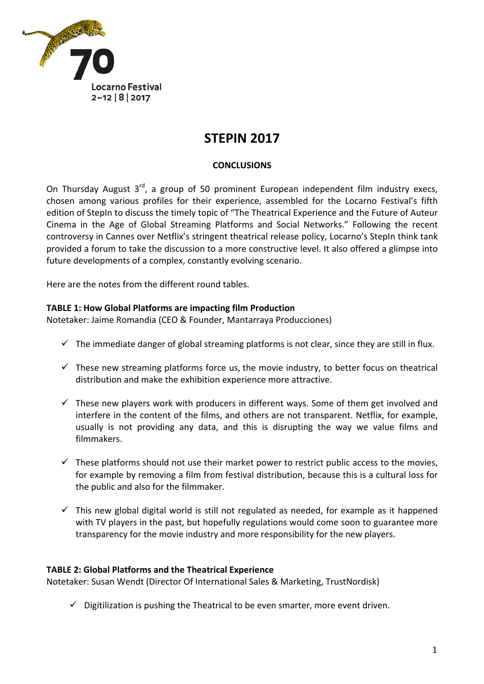

# **STEPIN 2017**

## **CONCLUSIONS**

On Thursday August  $3^{rd}$ , a group of 50 prominent European independent film industry execs, chosen among various profiles for their experience, assembled for the Locarno Festival's fifth edition of StepIn to discuss the timely topic of "The Theatrical Experience and the Future of Auteur Cinema in the Age of Global Streaming Platforms and Social Networks." Following the recent controversy in Cannes over Netflix's stringent theatrical release policy, Locarno's StepIn think tank provided a forum to take the discussion to a more constructive level. It also offered a glimpse into future developments of a complex, constantly evolving scenario.

Here are the notes from the different round tables.

#### **TABLE 1: How Global Platforms are impacting film Production**

Notetaker: Jaime Romandia (CEO & Founder, Mantarraya Producciones)

- $\checkmark$  The immediate danger of global streaming platforms is not clear, since they are still in flux.
- $\checkmark$  These new streaming platforms force us, the movie industry, to better focus on theatrical distribution and make the exhibition experience more attractive.
- $\checkmark$  These new players work with producers in different ways. Some of them get involved and interfere in the content of the films, and others are not transparent. Netflix, for example, usually is not providing any data, and this is disrupting the way we value films and filmmakers.
- $\checkmark$  These platforms should not use their market power to restrict public access to the movies, for example by removing a film from festival distribution, because this is a cultural loss for the public and also for the filmmaker.
- $\checkmark$  This new global digital world is still not regulated as needed, for example as it happened with TV players in the past, but hopefully regulations would come soon to guarantee more transparency for the movie industry and more responsibility for the new players.

#### **TABLE 2: Global Platforms and the Theatrical Experience**

Notetaker: Susan Wendt (Director Of International Sales & Marketing, TrustNordisk)

 $\checkmark$  Digitilization is pushing the Theatrical to be even smarter, more event driven.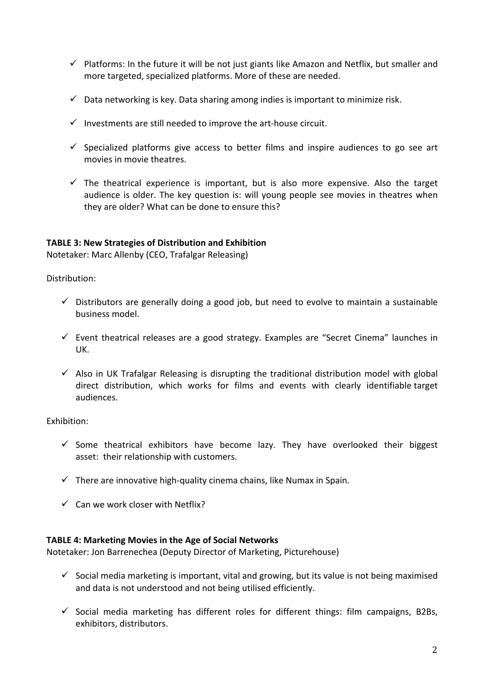- $\checkmark$  Platforms: In the future it will be not just giants like Amazon and Netflix, but smaller and more targeted, specialized platforms. More of these are needed.
- $\checkmark$  Data networking is key. Data sharing among indies is important to minimize risk.
- $\checkmark$  Investments are still needed to improve the art-house circuit.
- $\checkmark$  Specialized platforms give access to better films and inspire audiences to go see art movies in movie theatres.
- $\checkmark$  The theatrical experience is important, but is also more expensive. Also the target audience is older. The key question is: will young people see movies in theatres when they are older? What can be done to ensure this?

## **TABLE 3: New Strategies of Distribution and Exhibition**

Notetaker: Marc Allenby (CEO, Trafalgar Releasing)

Distribution:

- $\checkmark$  Distributors are generally doing a good job, but need to evolve to maintain a sustainable business model.
- $\checkmark$  Event theatrical releases are a good strategy. Examples are "Secret Cinema" launches in UK.
- $\checkmark$  Also in UK Trafalgar Releasing is disrupting the traditional distribution model with global direct distribution, which works for films and events with clearly identifiable target audiences.

## Exhibition:

- $\checkmark$  Some theatrical exhibitors have become lazy. They have overlooked their biggest asset: their relationship with customers.
- $\checkmark$  There are innovative high-quality cinema chains, like Numax in Spain.
- $\checkmark$  Can we work closer with Netflix?

## **TABLE 4: Marketing Movies in the Age of Social Networks**

Notetaker: Jon Barrenechea (Deputy Director of Marketing, Picturehouse)

- $\checkmark$  Social media marketing is important, vital and growing, but its value is not being maximised and data is not understood and not being utilised efficiently.
- $\checkmark$  Social media marketing has different roles for different things: film campaigns, B2Bs, exhibitors, distributors.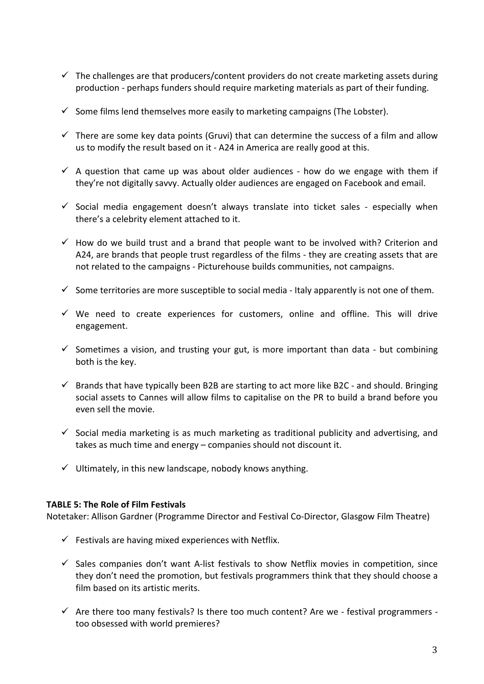- $\checkmark$  The challenges are that producers/content providers do not create marketing assets during production - perhaps funders should require marketing materials as part of their funding.
- $\checkmark$  Some films lend themselves more easily to marketing campaigns (The Lobster).
- $\checkmark$  There are some key data points (Gruvi) that can determine the success of a film and allow us to modify the result based on it - A24 in America are really good at this.
- $\checkmark$  A question that came up was about older audiences how do we engage with them if they're not digitally savvy. Actually older audiences are engaged on Facebook and email.
- $\checkmark$  Social media engagement doesn't always translate into ticket sales especially when there's a celebrity element attached to it.
- $\checkmark$  How do we build trust and a brand that people want to be involved with? Criterion and A24, are brands that people trust regardless of the films - they are creating assets that are not related to the campaigns - Picturehouse builds communities, not campaigns.
- $\checkmark$  Some territories are more susceptible to social media Italy apparently is not one of them.
- $\checkmark$  We need to create experiences for customers, online and offline. This will drive engagement.
- $\checkmark$  Sometimes a vision, and trusting your gut, is more important than data but combining both is the key.
- $\checkmark$  Brands that have typically been B2B are starting to act more like B2C and should. Bringing social assets to Cannes will allow films to capitalise on the PR to build a brand before you even sell the movie.
- $\checkmark$  Social media marketing is as much marketing as traditional publicity and advertising, and takes as much time and energy - companies should not discount it.
- $\checkmark$  Ultimately, in this new landscape, nobody knows anything.

## **TABLE 5: The Role of Film Festivals**

Notetaker: Allison Gardner (Programme Director and Festival Co-Director, Glasgow Film Theatre)

- $\checkmark$  Festivals are having mixed experiences with Netflix.
- $\checkmark$  Sales companies don't want A-list festivals to show Netflix movies in competition, since they don't need the promotion, but festivals programmers think that they should choose a film based on its artistic merits.
- $\checkmark$  Are there too many festivals? Is there too much content? Are we festival programmers too obsessed with world premieres?